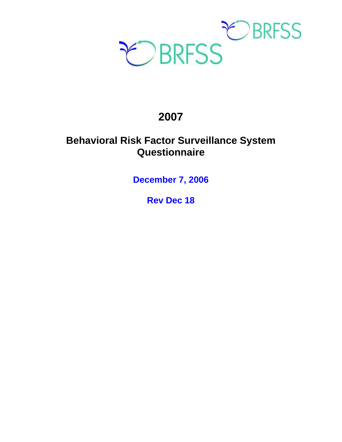

# **2007**

# **Behavioral Risk Factor Surveillance System Questionnaire**

**December 7, 2006** 

**Rev Dec 18**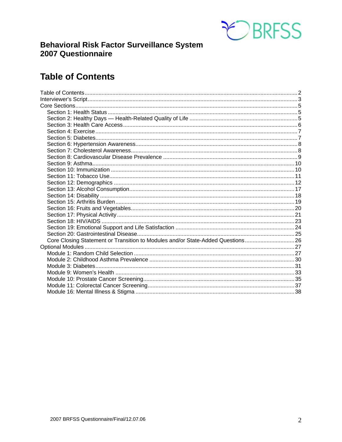

# **Behavioral Risk Factor Surveillance System** 2007 Questionnaire

# **Table of Contents**

| Core Closing Statement or Transition to Modules and/or State-Added Questions 26 |  |
|---------------------------------------------------------------------------------|--|
|                                                                                 |  |
|                                                                                 |  |
|                                                                                 |  |
|                                                                                 |  |
|                                                                                 |  |
|                                                                                 |  |
|                                                                                 |  |
|                                                                                 |  |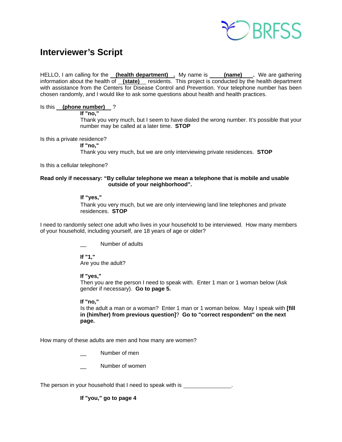

# **Interviewer's Script**

HELLO, I am calling for the **(health department)** . My name is **(name)** . We are gathering information about the health of **(state)** residents. This project is conducted by the health department with assistance from the Centers for Disease Control and Prevention. Your telephone number has been chosen randomly, and I would like to ask some questions about health and health practices.

# Is this **(phone number)** ?

 **If "no,"** 

 Thank you very much, but I seem to have dialed the wrong number. It's possible that your number may be called at a later time. **STOP**

Is this a private residence?

 **If "no,"** Thank you very much, but we are only interviewing private residences. **STOP**

Is this a cellular telephone?

# **Read only if necessary: "By cellular telephone we mean a telephone that is mobile and usable outside of your neighborhood".**

# **If "yes,"**

Thank you very much, but we are only interviewing land line telephones and private residences. **STOP** 

I need to randomly select one adult who lives in your household to be interviewed. How many members of your household, including yourself, are 18 years of age or older?

Number of adults

 **If "1,"**  Are you the adult?

 **If "yes,"** 

Then you are the person I need to speak with. Enter 1 man or 1 woman below (Ask gender if necessary). **Go to page 5.**

# **If "no,"**

 Is the adult a man or a woman? Enter 1 man or 1 woman below. May I speak with **[fill in (him/her) from previous question]**? **Go to "correct respondent" on the next page.**

How many of these adults are men and how many are women?

Number of men

Number of women

The person in your household that I need to speak with is \_\_\_\_\_\_\_\_\_\_\_\_\_\_\_\_\_\_\_\_\_\_

**If "you," go to page 4**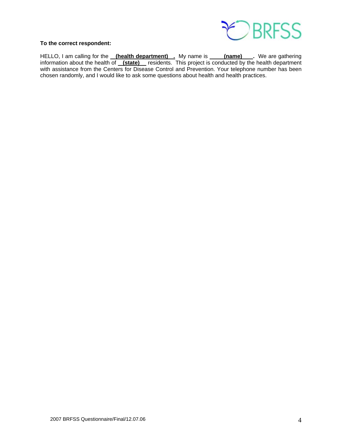

# **To the correct respondent:**

HELLO, I am calling for the **(health department)** . My name is **(name)** Ne are gathering information about the health of **(state)** residents. This project is conducted by the health department with assistance from the Centers for Disease Control and Prevention. Your telephone number has been chosen randomly, and I would like to ask some questions about health and health practices.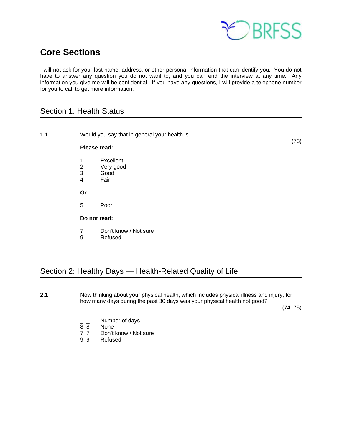

# **Core Sections**

I will not ask for your last name, address, or other personal information that can identify you. You do not have to answer any question you do not want to, and you can end the interview at any time. Any information you give me will be confidential. If you have any questions, I will provide a telephone number for you to call to get more information.

# Section 1: Health Status

| 1.1 | Would you say that in general your health is-<br>Please read: |                                        |  |  |
|-----|---------------------------------------------------------------|----------------------------------------|--|--|
|     | 1<br>$\frac{2}{3}$<br>$\overline{\mathcal{A}}$                | Excellent<br>Very good<br>Good<br>Fair |  |  |
|     | Or                                                            |                                        |  |  |
|     | 5                                                             | Poor                                   |  |  |
|     | Do not read:                                                  |                                        |  |  |
|     | $\overline{7}$<br>9                                           | Don't know / Not sure<br>Refused       |  |  |

# Section 2: Healthy Days — Health-Related Quality of Life

**2.1** Now thinking about your physical health, which includes physical illness and injury, for how many days during the past 30 days was your physical health not good?

 $(74-75)$ 

- $\frac{1}{8}$   $\frac{1}{8}$  Number of days
- None
- 7 7 Don't know / Not sure<br>9 9 Refused
- **Refused**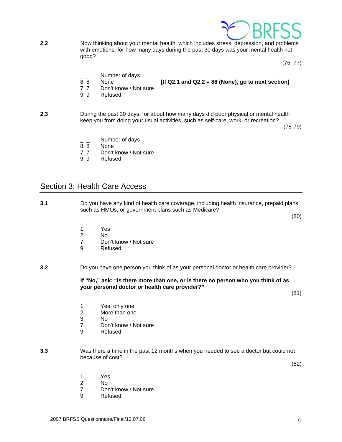

**2.2** Now thinking about your mental health, which includes stress, depression, and problems with emotions, for how many days during the past 30 days was your mental health not good?

 $(76 - 77)$ 

- $\frac{1}{8}$   $\frac{1}{8}$  Number of days
	- None *If Q2.1 and Q2.2 = 88 (None), go to next section***]**
- 
- 7 7 Don't know / Not sure
- 9 9 Refused

**2.3** During the past 30 days, for about how many days did poor physical or mental health keep you from doing your usual activities, such as self-care, work, or recreation?

 $(78-79)$ 

- Number of days
- 8 8 None
- 7 7 Don't know / Not sure
- 9 9 Refused

# Section 3: Health Care Access

**3.1** Do you have any kind of health care coverage, including health insurance, prepaid plans such as HMOs, or government plans such as Medicare?

(80)

- 
- 1 Yes<br>2 No 2 No
	- 7 Don't know / Not sure<br>9 Refused
	- **Refused**
- **3.2** Do you have one person you think of as your personal doctor or health care provider?

 **If "No," ask: "Is there more than one, or is there no person who you think of as your personal doctor or health care provider?"** 

(81)

- 1 Yes, only one
- 2 More than one
- 3 No
	- 7 Don't know / Not sure
	- 9 Refused
- **3.3** Was there a time in the past 12 months when you needed to see a doctor but could not because of cost?

(82)

- 1 Yes
- 2 No
	- 7 Don't know / Not sure
	- 9 Refused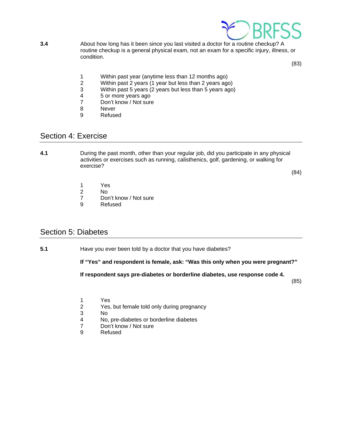

**3.4** About how long has it been since you last visited a doctor for a routine checkup? A routine checkup is a general physical exam, not an exam for a specific injury, illness, or condition.

(83)

- 1 Within past year (anytime less than 12 months ago)<br>2 Within past 2 years (1 year but less than 2 years ago
- 2 Within past 2 years (1 year but less than 2 years ago)<br>3 Within past 5 years (2 years but less than 5 years ago
- Within past 5 years (2 years but less than 5 years ago)
- 4 5 or more years ago<br>
7 Don't know / Not sure
- Don't know / Not sure
- 8 Never
- 9 Refused

# Section 4: Exercise

**4.1** During the past month, other than your regular job, did you participate in any physical activities or exercises such as running, calisthenics, golf, gardening, or walking for exercise?

(84)

- 1 Yes
- 2 No
- 7 Don't know / Not sure<br>9 Refused
- **Refused**

# Section 5: Diabetes

**5.1** Have you ever been told by a doctor that you have diabetes?

 **If "Yes" and respondent is female, ask: "Was this only when you were pregnant?"** 

**If respondent says pre-diabetes or borderline diabetes, use response code 4.** 

(85)

- 1 Yes
- 2 Yes, but female told only during pregnancy<br>3 No
- 3 No<br>4 No,
- No, pre-diabetes or borderline diabetes
- 7 Don't know / Not sure<br>9 Refused
- **Refused**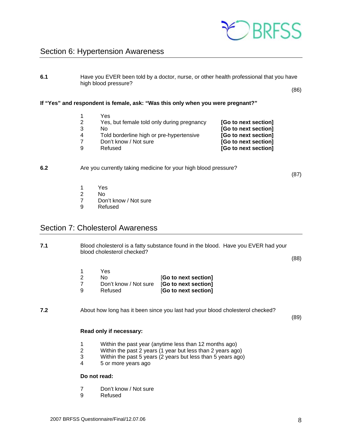

# Section 6: Hypertension Awareness

**6.1** Have you EVER been told by a doctor, nurse, or other health professional that you have high blood pressure?

(86)

**If "Yes" and respondent is female, ask: "Was this only when you were pregnant?"** 

| Yes                                        |                      |
|--------------------------------------------|----------------------|
| Yes, but female told only during pregnancy | [Go to next section] |
| N٥                                         | [Go to next section] |
| Told borderline high or pre-hypertensive   | [Go to next section] |
| Don't know / Not sure                      | [Go to next section] |
| Refused                                    | [Go to next section] |
|                                            |                      |

### **6.2** Are you currently taking medicine for your high blood pressure?

(87)

- 1 Yes
- 2 No
	- 7 Don't know / Not sure
	- 9 Refused

# Section 7: Cholesterol Awareness

**7.1** Blood cholesterol is a fatty substance found in the blood. Have you EVER had your blood cholesterol checked?

(88)

- 1 Yes 2 No **[Go to next section]** 7 Don't know / Not sure [**Go to next section]**
- 9 Refused [**Go to next section]**
- **7.2** About how long has it been since you last had your blood cholesterol checked?

(89)

### **Read only if necessary:**

- 1 Within the past year (anytime less than 12 months ago)
- 2 Within the past 2 years (1 year but less than 2 years ago)
- 3 Within the past 5 years (2 years but less than 5 years ago)
- 4 5 or more years ago

### **Do not read:**

- 7 Don't know / Not sure
- 9 Refused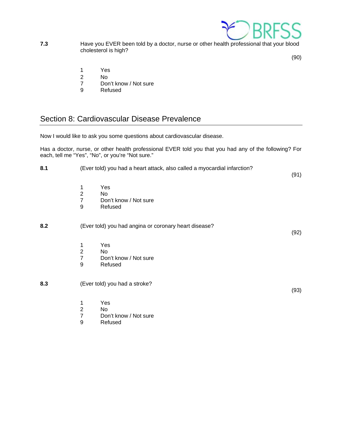

**7.3** Have you EVER been told by a doctor, nurse or other health professional that your blood cholesterol is high?

(90)

- 1 Yes
- 
- 2 No<br>7 Dor Don't know / Not sure
- 9 Refused

# Section 8: Cardiovascular Disease Prevalence

Now I would like to ask you some questions about cardiovascular disease.

Has a doctor, nurse, or other health professional EVER told you that you had any of the following? For each, tell me "Yes", "No", or you're "Not sure."

| 8.1 | (Ever told) you had a heart attack, also called a myocardial infarction?                             | (91) |
|-----|------------------------------------------------------------------------------------------------------|------|
|     | Yes<br>1<br>$\overline{2}$<br>No.<br>$\overline{7}$<br>Don't know / Not sure<br>9<br>Refused         |      |
| 8.2 | (Ever told) you had angina or coronary heart disease?                                                | (92) |
|     | Yes<br>1<br>$\overline{2}$<br>No<br>$\overline{7}$<br>Don't know / Not sure<br>9<br>Refused          |      |
| 8.3 | (Ever told) you had a stroke?                                                                        | (93) |
|     | Yes<br>1<br>$\overline{\mathbf{c}}$<br>No<br>$\overline{7}$<br>Don't know / Not sure<br>9<br>Refused |      |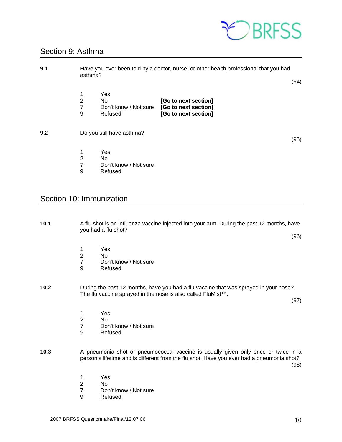

# Section 9: Asthma

| 9.1 | Have you ever been told by a doctor, nurse, or other health professional that you had<br>asthma? |                                                |                                                                      |  |      |
|-----|--------------------------------------------------------------------------------------------------|------------------------------------------------|----------------------------------------------------------------------|--|------|
|     |                                                                                                  |                                                |                                                                      |  | (94) |
|     | $\overline{2}$<br>7<br>9                                                                         | Yes<br>No.<br>Don't know / Not sure<br>Refused | [Go to next section]<br>[Go to next section]<br>[Go to next section] |  |      |
| 9.2 |                                                                                                  | Do you still have asthma?                      |                                                                      |  | (95) |
|     | 1<br>$\overline{2}$<br>$\overline{7}$<br>9                                                       | Yes<br>No.<br>Don't know / Not sure<br>Refused |                                                                      |  |      |

# Section 10: Immunization

| 10.1 |                                            | A flu shot is an influenza vaccine injected into your arm. During the past 12 months, have<br>you had a flu shot?<br>(96)                                                              |  |  |  |
|------|--------------------------------------------|----------------------------------------------------------------------------------------------------------------------------------------------------------------------------------------|--|--|--|
|      | $\overline{2}$<br>$\overline{7}$<br>9      | Yes<br>No<br>Don't know / Not sure<br>Refused                                                                                                                                          |  |  |  |
| 10.2 |                                            | During the past 12 months, have you had a flu vaccine that was sprayed in your nose?<br>The flu vaccine sprayed in the nose is also called FluMist™.<br>(97)                           |  |  |  |
|      | 1<br>$\overline{2}$<br>$\overline{7}$<br>9 | Yes<br>No.<br>Don't know / Not sure<br>Refused                                                                                                                                         |  |  |  |
| 10.3 |                                            | A pneumonia shot or pneumococcal vaccine is usually given only once or twice in a<br>person's lifetime and is different from the flu shot. Have you ever had a pneumonia shot?<br>(98) |  |  |  |
|      | $\overline{2}$                             | Yes<br>No                                                                                                                                                                              |  |  |  |

- 2 No<br>7 Don't know / Not sure<br>9 Refused
- **Refused**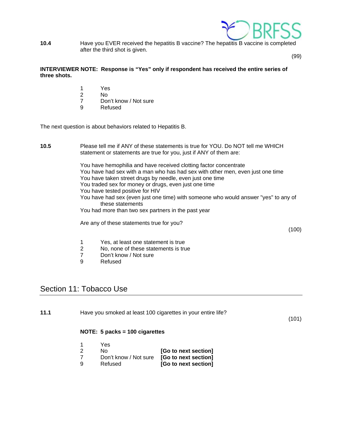

**10.4** Have you EVER received the hepatitis B vaccine? The hepatitis B vaccine is completed after the third shot is given.

(99)

# **INTERVIEWER NOTE: Response is "Yes" only if respondent has received the entire series of three shots.**

- 1 Yes
- 2 No
	- 7 Don't know / Not sure
	- 9 Refused

The next question is about behaviors related to Hepatitis B.

# **10.5** Please tell me if ANY of these statements is true for YOU. Do NOT tell me WHICH statement or statements are true for you, just if ANY of them are: You have hemophilia and have received clotting factor concentrate You have had sex with a man who has had sex with other men, even just one time You have taken street drugs by needle, even just one time You traded sex for money or drugs, even just one time You have tested positive for HIV You have had sex (even just one time) with someone who would answer "yes" to any of these statements You had more than two sex partners in the past year Are any of these statements true for you? (100) 1 Yes, at least one statement is true<br>2 No, none of these statements is true No, none of these statements is true 7 Don't know / Not sure

9 Refused

# Section 11: Tobacco Use

| 11.1 | Have you smoked at least 100 cigarettes in your entire life?<br>(101) |                                  |                      |  |
|------|-----------------------------------------------------------------------|----------------------------------|----------------------|--|
|      |                                                                       | NOTE: $5$ packs = 100 cigarettes |                      |  |
|      |                                                                       | Yes                              |                      |  |
|      | 2                                                                     | No                               | [Go to next section] |  |
|      |                                                                       | Don't know / Not sure            | [Go to next section] |  |
|      | 9                                                                     | Refused                          | [Go to next section] |  |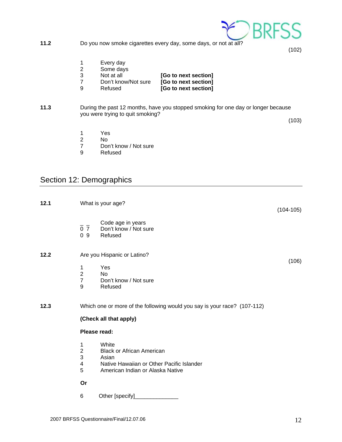

**11.2** Do you now smoke cigarettes every day, some days, or not at all?

 $(102)$ 

- 1 Every day<br>2 Some days
- 2 Some days<br>3 Not at all
- 
- 3 Not at all **[Go to next section]**<br>7 Don't know/Not sure **[Go to next section]**
- 
- **[Go to next section]** 9 Refused **[Go to next section]**
- **11.3** During the past 12 months, have you stopped smoking for one day or longer because you were trying to quit smoking?

 $(103)$ 

- 1 Yes<br>2 No
- No.
- 7 Don't know / Not sure<br>9 Refused
- **Refused**

# Section 12: Demographics

| 12.1 |                                                                       | What is your age?                                                                                                                   | $(104-105)$ |
|------|-----------------------------------------------------------------------|-------------------------------------------------------------------------------------------------------------------------------------|-------------|
|      | 0 <sub>7</sub><br>09                                                  | Code age in years<br>Don't know / Not sure<br>Refused                                                                               |             |
| 12.2 |                                                                       | Are you Hispanic or Latino?                                                                                                         | (106)       |
|      | $\mathbf{1}$<br>$\mathbf 2$<br>$\overline{\mathbf{7}}$<br>$\mathsf g$ | Yes<br><b>No</b><br>Don't know / Not sure<br>Refused                                                                                |             |
| 12.3 |                                                                       | Which one or more of the following would you say is your race? (107-112)                                                            |             |
|      |                                                                       | (Check all that apply)                                                                                                              |             |
|      |                                                                       | Please read:                                                                                                                        |             |
|      | 1<br>$\boldsymbol{2}$<br>3<br>$\overline{\mathbf{4}}$<br>5            | White<br><b>Black or African American</b><br>Asian<br>Native Hawaiian or Other Pacific Islander<br>American Indian or Alaska Native |             |
|      | Or                                                                    |                                                                                                                                     |             |
|      | 6                                                                     |                                                                                                                                     |             |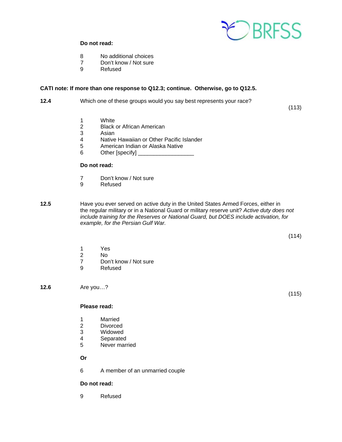

# **Do not read:**

- 8 No additional choices
- 7 Don't know / Not sure
- 9 Refused

### **CATI note: If more than one response to Q12.3; continue. Otherwise, go to Q12.5.**

**12.4** Which one of these groups would you say best represents your race?

(113)

- 1 White
- 2 Black or African American<br>3 Asian
- 3 Asian<br>4 Native
- Native Hawaiian or Other Pacific Islander
- 5 American Indian or Alaska Native
- 6 Other [specify] \_\_

# **Do not read:**

- 7 Don't know / Not sure
- 9 Refused
- **12.5** Have you ever served on active duty in the United States Armed Forces, either in the regular military or in a National Guard or military reserve unit? *Active duty does not include training for the Reserves or National Guard, but DOES include activation, for example, for the Persian Gulf War.*

(114)

- 1 Yes
- No
- 7 Don't know / Not sure
- 9 Refused

**12.6** Are you…?

#### **Please read:**

- 1 Married
- 2 Divorced<br>3 Widowed
- Widowed
- 4 Separated
- 5 Never married

 **Or**

6 A member of an unmarried couple

# **Do not read:**

9 Refused

(115)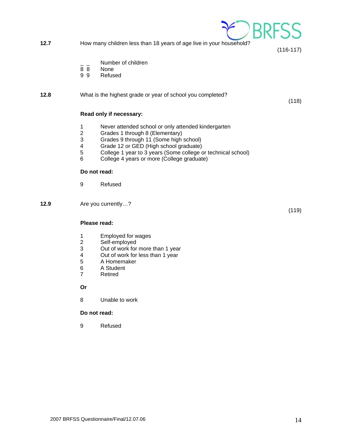**12.7** How many children less than 18 years of age live in your household?

(116-117)

 $)$ RR

(118)

- $\frac{1}{8}$   $\frac{1}{8}$  Number of children
- None
- 9 9 Refused

# **12.8** What is the highest grade or year of school you completed?

# **Read only if necessary:**

- 1 Never attended school or only attended kindergarten
- 2 Grades 1 through 8 (Elementary)<br>3 Grades 9 through 11 (Some high
- Grades 9 through 11 (Some high school)
- 4 Grade 12 or GED (High school graduate)<br>5 College 1 year to 3 years (Some college c
- 5 College 1 year to 3 years (Some college or technical school)
- 6 College 4 years or more (College graduate)

# **Do not read:**

9 Refused

**12.9** Are you currently…?

# **Please read:**

- 1 Employed for wages
- 2 Self-employed<br>3 Out of work for
- 3 Out of work for more than 1 year<br>4 Out of work for less than 1 year
- 4 Out of work for less than 1 year<br>5 A Homemaker
- 5 A Homemaker
- 6 A Student
- 7 Retired

### **Or**

8 Unable to work

# **Do not read:**

9 Refused

(119)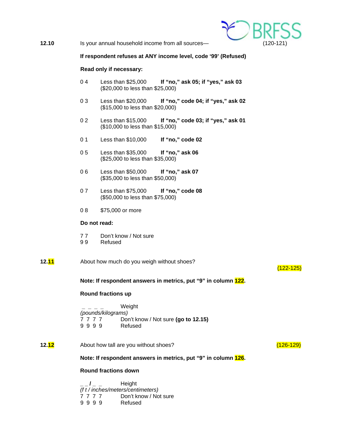

**12.10** Is your annual household income from all sources— (120-121)

### **If respondent refuses at ANY income level, code '99' (Refused)**

### **Read only if necessary:**

- 0 4 Less than \$25,000 **If "no," ask 05; if "yes," ask 03** (\$20,000 to less than \$25,000)
- 0 3 Less than \$20,000 **If "no," code 04; if "yes," ask 02** (\$15,000 to less than \$20,000)
- 0 2 Less than \$15,000 **If "no," code 03; if "yes," ask 01** (\$10,000 to less than \$15,000)
- 0 1 Less than \$10,000 **If "no," code 02**
- 0 5 Less than \$35,000 **If "no," ask 06** (\$25,000 to less than \$35,000)
- 0 6 Less than \$50,000 **If "no," ask 07** (\$35,000 to less than \$50,000)
- 0 7 Less than \$75,000 **If "no," code 08** (\$50,000 to less than \$75,000)
- 0 8 \$75,000 or more

# **Do not read:**

- 7 7 Don't know / Not sure
- 9 9 Refused

### **12.11** About how much do you weigh without shoes?

# (122-125)

**Note: If respondent answers in metrics, put "9" in column 122.**

#### **Round fractions up**

 **\_ \_ \_ \_** Weight  *(pounds/kilograms)* 7 7 7 7 Don't know / Not sure **(go to 12.15)** 9 9 9 9 Refused

**12.12** About how tall are you without shoes? **Account 12.12** About how tall are you without shoes?

**Note: If respondent answers in metrics, put "9" in column 126.**

### **Round fractions down**

 **\_ \_ / \_ \_** Height *(f t / inches/meters/centimeters)* 7 7 7 7 Don't know / Not sure 9 9 9 9 Refused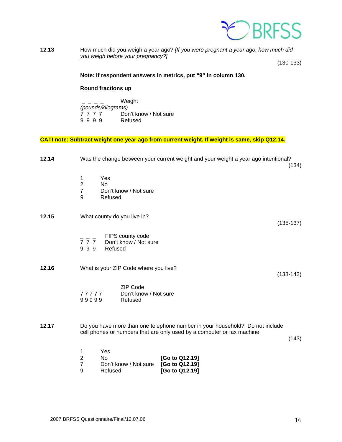

**12.13** How much did you weigh a year ago? *[If you were pregnant a year ago, how much did you weigh before your pregnancy?]* 

(130-133)

# **Note: If respondent answers in metrics, put "9" in column 130.**

### **Round fractions up**

 **\_ \_ \_ \_** Weight  *(pounds/kilograms)* Don't know / Not sure<br>Refused 9 9 9 9

# **CATI note: Subtract weight one year ago from current weight. If weight is same, skip Q12.14.**

| 12.14 | Was the change between your current weight and your weight a year ago intentional?<br>(134)                                                                      |
|-------|------------------------------------------------------------------------------------------------------------------------------------------------------------------|
|       | Yes<br>1<br>$\overline{2}$<br><b>No</b><br>$\overline{7}$<br>Don't know / Not sure<br>9<br>Refused                                                               |
| 12.15 | What county do you live in?<br>$(135-137)$                                                                                                                       |
|       | FIPS county code<br>$\overline{7}$ $\overline{7}$ $\overline{7}$<br>Don't know / Not sure<br>999<br>Refused                                                      |
| 12.16 | What is your ZIP Code where you live?<br>$(138-142)$                                                                                                             |
|       | <b>ZIP Code</b><br>$77777$<br>Don't know / Not sure<br>99999<br>Refused                                                                                          |
| 12.17 | Do you have more than one telephone number in your household? Do not include<br>cell phones or numbers that are only used by a computer or fax machine.<br>(143) |
|       | Yes<br>1<br>$\overline{2}$<br>No<br>[Go to Q12.19]<br>$\overline{7}$<br>[Go to Q12.19]<br>Don't know / Not sure<br>9<br>[Go to Q12.19]<br>Refused                |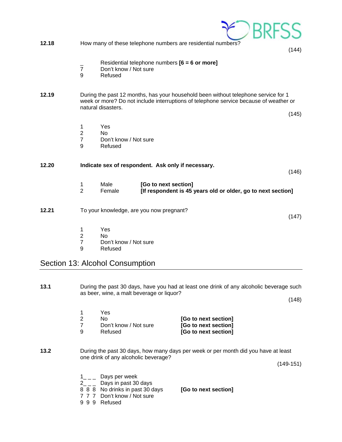| 12.18 |                                            |                                                           | How many of these telephone numbers are residential numbers?                                                                                                                | (144) |
|-------|--------------------------------------------|-----------------------------------------------------------|-----------------------------------------------------------------------------------------------------------------------------------------------------------------------------|-------|
|       | $\overline{7}$<br>9                        | Don't know / Not sure<br>Refused                          | Residential telephone numbers $[6 = 6$ or more]                                                                                                                             |       |
| 12.19 |                                            | natural disasters.                                        | During the past 12 months, has your household been without telephone service for 1<br>week or more? Do not include interruptions of telephone service because of weather or | (145) |
|       | 1<br>$\overline{2}$<br>$\overline{7}$<br>9 | Yes<br>N <sub>o</sub><br>Don't know / Not sure<br>Refused |                                                                                                                                                                             |       |
| 12.20 |                                            |                                                           | Indicate sex of respondent. Ask only if necessary.                                                                                                                          | (146) |
|       | 1<br>$\overline{2}$                        | Male<br>Female                                            | [Go to next section]<br>[If respondent is 45 years old or older, go to next section]                                                                                        |       |
| 12.21 |                                            |                                                           | To your knowledge, are you now pregnant?                                                                                                                                    | (147) |
|       | 1<br>$\overline{c}$<br>7                   | Yes<br>No<br>Don't know / Not sure                        |                                                                                                                                                                             |       |

 7 Don't know / Not sure **Refused** 

# Section 13: Alcohol Consumption

**13.1** During the past 30 days, have you had at least one drink of any alcoholic beverage such as beer, wine, a malt beverage or liquor?

 $(148)$ 

|                      | Yes.                  |  |
|----------------------|-----------------------|--|
| [Go to next section] | N٥                    |  |
| [Go to next section] | Don't know / Not sure |  |
| [Go to next section] | Refused               |  |

**13.2** During the past 30 days, how many days per week or per month did you have at least one drink of any alcoholic beverage?

(149-151)

- $1_{---}$  Days per week
- $2\overline{\hspace{0.2cm}}\hspace{0.2cm}2\overline{\hspace{0.2cm}}\hspace{0.2cm}2\overline{\hspace{0.2cm}}\hspace{0.2cm}0$  Days in past 30 days
- 8 8 8 No drinks in past 30 days **[Go to next section]**
- 7 7 7 Don't know / Not sure
- 9 9 9 Refused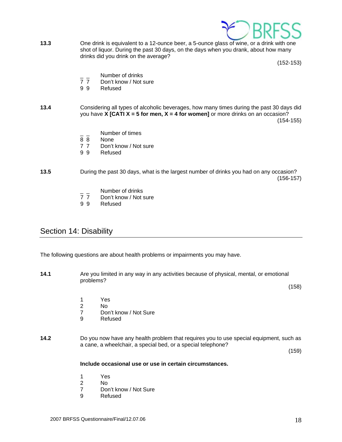

**13.3** One drink is equivalent to a 12-ounce beer, a 5-ounce glass of wine, or a drink with one shot of liquor. During the past 30 days, on the days when you drank, about how many drinks did you drink on the average?

(152-153)

- \_ \_ Number of drinks<br>7 7 Don't know / Not s
- Don't know / Not sure
- 9 9 Refused
- **13.4** Considering all types of alcoholic beverages, how many times during the past 30 days did you have **X** [CATI  $X = 5$  for men,  $X = 4$  for women] or more drinks on an occasion? (154-155)
	- $\frac{1}{8}$   $\frac{1}{8}$  Number of times
	- None
	- 7 7 Don't know / Not sure
	- 9 9 Refused
- **13.5** During the past 30 days, what is the largest number of drinks you had on any occasion? (156-157)
	- \_ \_ Number of drinks<br>7 7 Don't know / Not s
	- Don't know / Not sure
	- 9 9 Refused

# Section 14: Disability

The following questions are about health problems or impairments you may have.

**14.1** Are you limited in any way in any activities because of physical, mental, or emotional problems?

(158)

- 1 Yes
- 2 No
	- 7 Don't know / Not Sure
	- 9 Refused

# **14.2** Do you now have any health problem that requires you to use special equipment, such as a cane, a wheelchair, a special bed, or a special telephone?

(159)

# **Include occasional use or use in certain circumstances.**

- 1 Yes
- 2 No
- 7 Don't know / Not Sure
- 9 Refused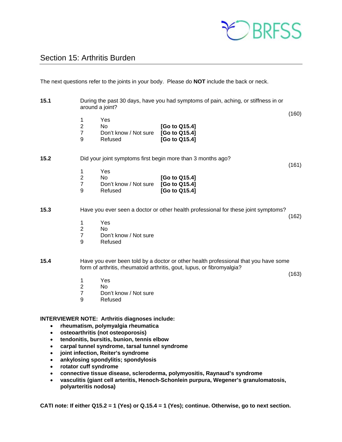

# Section 15: Arthritis Burden

The next questions refer to the joints in your body. Please do **NOT** include the back or neck.

- **15.1** During the past 30 days, have you had symptoms of pain, aching, or stiffness in or around a joint? (160) 1 Yes 2 No **[Go to Q15.4]** 7 Don't know / Not sure **[Go to Q15.4]** 9 Refused **[Go to Q15.4] 15.2** Did your joint symptoms first begin more than 3 months ago? (161) 1 Yes 2 No **[Go to Q15.4]** 7 Don't know / Not sure **[Go to Q15.4]** 9 Refused **[Go to Q15.4] 15.3** Have you ever seen a doctor or other health professional for these joint symptoms? (162) 1 Yes 2 No 7 Don't know / Not sure 9 Refused **15.4** Have you ever been told by a doctor or other health professional that you have some form of arthritis, rheumatoid arthritis, gout, lupus, or fibromyalgia? (163) 1 Yes 2 No 7 Don't know / Not sure 9 Refused **INTERVIEWER NOTE: Arthritis diagnoses include: rheumatism, polymyalgia rheumatica osteoarthritis (not osteoporosis) tendonitis, bursitis, bunion, tennis elbow carpal tunnel syndrome, tarsal tunnel syndrome joint infection, Reiter's syndrome ankylosing spondylitis; spondylosis rotator cuff syndrome** 
	- **connective tissue disease, scleroderma, polymyositis, Raynaud's syndrome**
	- **vasculitis (giant cell arteritis, Henoch-Schonlein purpura, Wegener's granulomatosis, polyarteritis nodosa)**

**CATI note: If either Q15.2 = 1 (Yes) or Q.15.4 = 1 (Yes); continue. Otherwise, go to next section.**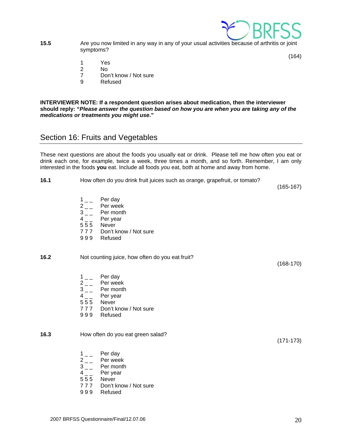

**15.5** Are you now limited in any way in any of your usual activities because of arthritis or joint symptoms?

(164)

- 1 Yes
- 2 No
- 7 Don't know / Not sure
- 9 Refused

**INTERVIEWER NOTE: If a respondent question arises about medication, then the interviewer should reply: "***Please answer the question based on how you are when you are taking any of the medications or treatments you might use***."** 

# Section 16: Fruits and Vegetables

These next questions are about the foods you usually eat or drink. Please tell me how often you eat or drink each one, for example, twice a week, three times a month, and so forth. Remember, I am only interested in the foods **you** eat. Include all foods *you* eat, both at home and away from home.

**16.1** How often do you drink fruit juices such as orange, grapefruit, or tomato?

(165-167)

- $1_{--}$  Per day
- $2 \quad \quad$  Per week<br> $3 \quad \quad$  Per month
- Per month
- 4 Per year
- 5 5 5 Never
- 7 7 7 Don't know / Not sure
- 9 9 9 Refused

| 16.2 | Not counting juice, how often do you eat fruit?                                            | $(168-170)$ |
|------|--------------------------------------------------------------------------------------------|-------------|
|      | Per day<br>$1 \quad \Box$<br>Per week<br>$2\degree$<br>Per month<br>3<br>Per year<br>$4 -$ |             |

- 5 5 5 Never
- 7 7 7 Don't know / Not sure
- 9 9 9 Refused

# **16.3** How often do you eat green salad?

(171-173)

- $1_{--}$  Per day
- $2 \quad \quad$  Per week<br> $3 \quad \quad$  Per month
- Per month
- $4_{--}$  Per year
- 5 5 5 Never
- 7 7 7 Don't know / Not sure
- 9 9 9 Refused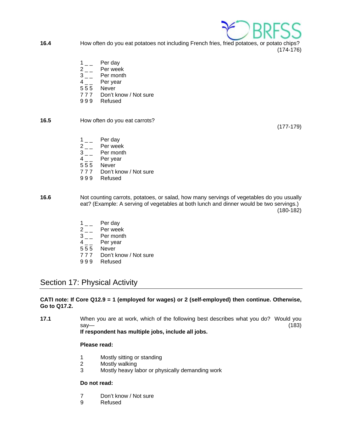

- **16.4** How often do you eat potatoes not including French fries, fried potatoes, or potato chips? (174-176)
	- $1_{-}$  Per day
	-
	- $2 \nightharpoonup$  Per week<br>3 Per month Per month
	- 4<sub>\_\_</sub> Per year
	- 5 5 5 Never
	- 7 7 7 Don't know / Not sure
	- 9 9 9 Refused

# **16.5** How often do you eat carrots?

(177-179)

- 1 Per day
- 2<sub>\_\_</sub> Per week
- $3_{--}$  Per month
- $4_{--}$  Per year
- 5 5 5 Never
- 7 7 7 Don't know / Not sure
- 9 9 9 Refused
- **16.6** Not counting carrots, potatoes, or salad, how many servings of vegetables do you usually eat? (Example: A serving of vegetables at both lunch and dinner would be two servings.) (180-182)
	- $1_{--}$  Per day
	- $2 \begin{bmatrix} 2 & \\ 3 & \end{bmatrix}$  Per month
	- Per month
	- 4<sub>\_\_</sub> Per year
	- 5 5 5 Never
	- 7 7 7 Don't know / Not sure
	- 9 9 9 Refused

# Section 17: Physical Activity

# **CATI note: If Core Q12.9 = 1 (employed for wages) or 2 (self-employed) then continue. Otherwise, Go to Q17.2.**

**17.1** When you are at work, which of the following best describes what you do? Would you say— (183)

# **If respondent has multiple jobs, include all jobs.**

# **Please read:**

- 1 Mostly sitting or standing
- 2 Mostly walking
- 3 Mostly heavy labor or physically demanding work

# **Do not read:**

- 7 Don't know / Not sure
- 9 Refused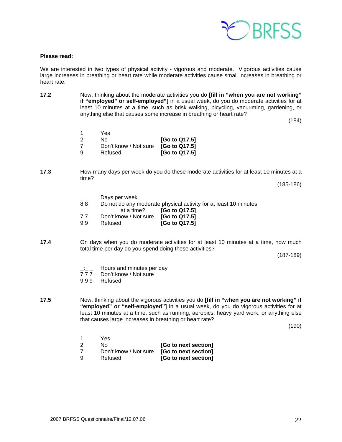

### **Please read:**

We are interested in two types of physical activity - vigorous and moderate. Vigorous activities cause large increases in breathing or heart rate while moderate activities cause small increases in breathing or heart rate.

**17.2** Now, thinking about the moderate activities you do **[fill in "when you are not working" if "employed" or self-employed"]** in a usual week, do you do moderate activities for at least 10 minutes at a time, such as brisk walking, bicycling, vacuuming, gardening, or anything else that causes some increase in breathing or heart rate?

(184)

- 1 Yes 2 No **[Go to Q17.5]** 7 Don't know / Not sure **[Go to Q17.5]** 9 Refused **[Go to Q17.5]**
- **17.3** How many days per week do you do these moderate activities for at least 10 minutes at a time?

(185-186)

- Days per week
- 8 8 Do not do any moderate physical activity for at least 10 minutes

|    | at a time?                          | [Go to Q17.5] |
|----|-------------------------------------|---------------|
|    | Don't know / Not sure [Go to Q17.5] |               |
| 99 | Refused                             | [Go to Q17.5] |

**17.4** On days when you do moderate activities for at least 10 minutes at a time, how much total time per day do you spend doing these activities?

(187-189)

- $\frac{1}{7}$   $\frac{1}{7}$  Hours and minutes per day<br>777 Don't know / Not sure
- Don't know / Not sure
- 9 9 9 Refused
- **17.5** Now, thinking about the vigorous activities you do **[fill in "when you are not working" if "employed" or "self-employed"]** in a usual week, do you do vigorous activities for at least 10 minutes at a time, such as running, aerobics, heavy yard work, or anything else that causes large increases in breathing or heart rate?

(190)

- 1 Yes 2 No **[Go to next section]**
- 7 Don't know / Not sure **[Go to next section]**
- 9 Refused **[Go to next section]**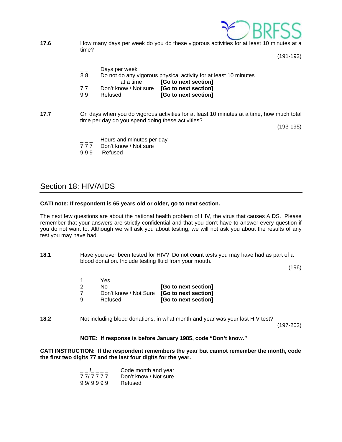

**17.6** How many days per week do you do these vigorous activities for at least 10 minutes at a time?

(191-192)

|    | Days per week         |                                                                  |
|----|-----------------------|------------------------------------------------------------------|
| 88 |                       | Do not do any vigorous physical activity for at least 10 minutes |
|    | at a time             | [Go to next section]                                             |
| 77 | Don't know / Not sure | [Go to next section]                                             |
| 99 | Refused               | [Go to next section]                                             |

**17.7** On days when you do vigorous activities for at least 10 minutes at a time, how much total time per day do you spend doing these activities?

(193-195)

- Hours and minutes per day
- 7 7 7 Don't know / Not sure
- 9 9 9 Refused

# Section 18: HIV/AIDS

# **CATI note: If respondent is 65 years old or older, go to next section.**

The next few questions are about the national health problem of HIV, the virus that causes AIDS. Please remember that your answers are strictly confidential and that you don't have to answer every question if you do not want to. Although we will ask you about testing, we will not ask you about the results of any test you may have had.

**18.1** Have you ever been tested for HIV? Do not count tests you may have had as part of a blood donation. Include testing fluid from your mouth.

(196)

 1 Yes 2 No **[Go to next section]** 7 Don't know / Not Sure **[Go to next section]** 9 Refused **[Go to next section]** 

**18.2** Not including blood donations, in what month and year was your last HIV test?

(197-202)

# **NOTE: If response is before January 1985, code "Don't know."**

**CATI INSTRUCTION: If the respondent remembers the year but cannot remember the month, code the first two digits 77 and the last four digits for the year.** 

|         | Code month and year   |
|---------|-----------------------|
| 777777  | Don't know / Not sure |
| 99/9999 | Refused               |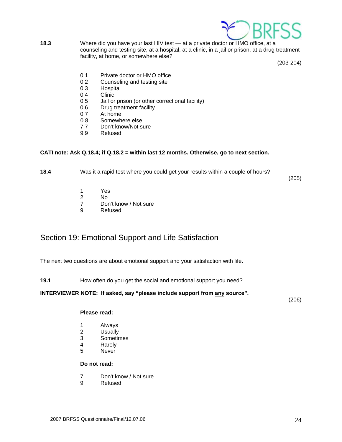

**18.3** Where did you have your last HIV test — at a private doctor or HMO office, at a counseling and testing site, at a hospital, at a clinic, in a jail or prison, at a drug treatment facility, at home, or somewhere else?

(203-204)

- 0.1 Private doctor or HMO office
- 0 2 Counseling and testing site
- 0 3 Hospital
- 0 4 Clinic<br>0 5 Jail or
- Jail or prison (or other correctional facility)
- 0 6 Drug treatment facility<br>0 7 At home
- 0 7 At home<br>0 8 Somewh
- Somewhere else
- 7 7 Don't know/Not sure
- 9 9 Refused

# **CATI note: Ask Q.18.4; if Q.18.2 = within last 12 months. Otherwise, go to next section.**

**18.4** Was it a rapid test where you could get your results within a couple of hours?

(205)

- 1 Yes
- 2 No
- 7 Don't know / Not sure
- 9 Refused

# Section 19: Emotional Support and Life Satisfaction

The next two questions are about emotional support and your satisfaction with life.

**19.1** How often do you get the social and emotional support you need?

# **INTERVIEWER NOTE: If asked, say "please include support from any source".**

(206)

# **Please read:**

- 1 Always
- 2 Usually
- 3 Sometimes
- 4 Rarely
- 5 Never

# **Do not read:**

- 7 Don't know / Not sure
- 9 Refused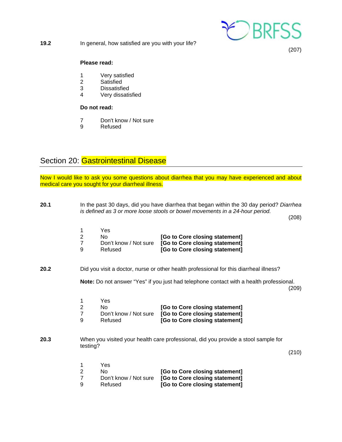

**19.2** In general, how satisfied are you with your life?

(207)

# **Please read:**

- 1 Very satisfied<br>2 Satisfied
- **Satisfied**
- 3 Dissatisfied
- 4 Very dissatisfied

# **Do not read:**

- 7 Don't know / Not sure
- 9 Refused

# Section 20: Gastrointestinal Disease

Now I would like to ask you some questions about diarrhea that you may have experienced and about medical care you sought for your diarrheal illness.

| 20.1 | In the past 30 days, did you have diarrhea that began within the 30 day period? Diarrhea<br>is defined as 3 or more loose stools or bowel movements in a 24-hour period.<br>(208) |                                                      |                                                                                                    |       |
|------|-----------------------------------------------------------------------------------------------------------------------------------------------------------------------------------|------------------------------------------------------|----------------------------------------------------------------------------------------------------|-------|
|      | 1<br>$\overline{2}$<br>$\overline{7}$<br>9                                                                                                                                        | Yes<br><b>No</b><br>Don't know / Not sure<br>Refused | [Go to Core closing statement]<br>[Go to Core closing statement]<br>[Go to Core closing statement] |       |
| 20.2 |                                                                                                                                                                                   |                                                      | Did you visit a doctor, nurse or other health professional for this diarrheal illness?             |       |
|      |                                                                                                                                                                                   |                                                      | Note: Do not answer "Yes" if you just had telephone contact with a health professional.            | (209) |
|      | 1<br>$\overline{2}$<br>$\overline{7}$<br>9                                                                                                                                        | Yes<br><b>No</b><br>Don't know / Not sure<br>Refused | [Go to Core closing statement]<br>[Go to Core closing statement]<br>[Go to Core closing statement] |       |
| 20.3 | testing?                                                                                                                                                                          |                                                      | When you visited your health care professional, did you provide a stool sample for                 | (210) |
|      | 1<br>$\overline{2}$<br>$\overline{7}$<br>9                                                                                                                                        | Yes<br>No<br>Don't know / Not sure<br>Refused        | [Go to Core closing statement]<br>[Go to Core closing statement]<br>[Go to Core closing statement] |       |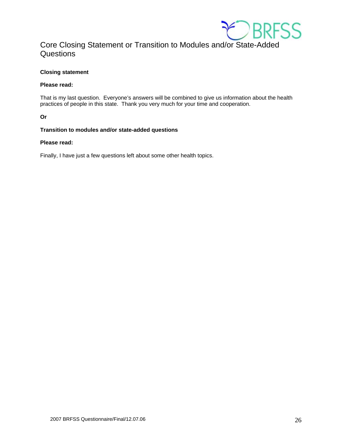

# Core Closing Statement or Transition to Modules and/or State-Added **Questions**

# **Closing statement**

# **Please read:**

That is my last question. Everyone's answers will be combined to give us information about the health practices of people in this state. Thank you very much for your time and cooperation.

**Or** 

# **Transition to modules and/or state-added questions**

# **Please read:**

Finally, I have just a few questions left about some other health topics.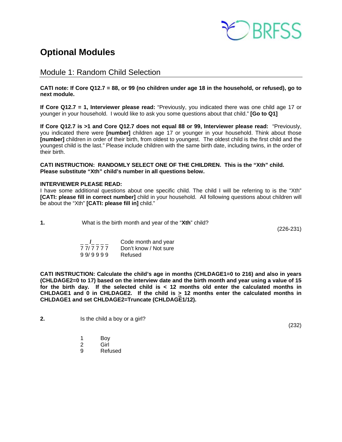

# **Optional Modules**

Module 1: Random Child Selection

**CATI note: If Core Q12.7 = 88, or 99 (no children under age 18 in the household, or refused), go to next module.** 

**If Core Q12.7 = 1, Interviewer please read:** "Previously, you indicated there was one child age 17 or younger in your household. I would like to ask you some questions about that child." **[Go to Q1]**

**If Core Q12.7 is >1 and Core Q12.7 does not equal 88 or 99, Interviewer please read:** "Previously, you indicated there were **[number]** children age 17 or younger in your household. Think about those **[number]** children in order of their birth, from oldest to youngest. The oldest child is the first child and the youngest child is the last." Please include children with the same birth date, including twins, in the order of their birth.

**CATI INSTRUCTION: RANDOMLY SELECT ONE OF THE CHILDREN. This is the "Xth" child. Please substitute "Xth" child's number in all questions below.** 

### **INTERVIEWER PLEASE READ:**

I have some additional questions about one specific child. The child I will be referring to is the "Xth" **[CATI: please fill in correct number]** child in your household. All following questions about children will be about the "Xth" **[CATI: please fill in]** child."

**1.** What is the birth month and year of the "**Xth**" child?

(226-231)

|         | Code month and year   |
|---------|-----------------------|
| 777777  | Don't know / Not sure |
| 99/9999 | Refused               |

**CATI INSTRUCTION: Calculate the child's age in months (CHLDAGE1=0 to 216) and also in years (CHLDAGE2=0 to 17) based on the interview date and the birth month and year using a value of 15 for the birth day. If the selected child is < 12 months old enter the calculated months in CHLDAGE1 and 0 in CHLDAGE2.** If the child is  $\geq$  12 months enter the calculated months in **CHLDAGE1 and set CHLDAGE2=Truncate (CHLDAGE1/12).** 

- **2.** Is the child a boy or a girl?
	- 1 Boy
- 2 Girl
	- 9 Refused

(232)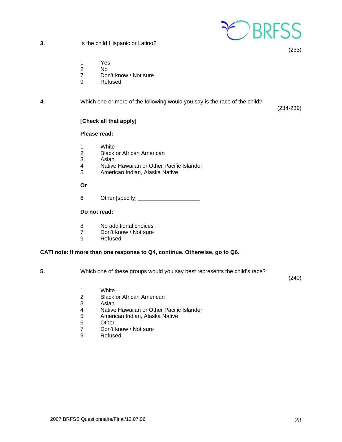

**3.** Is the child Hispanic or Latino?

(233)

- 1 Yes
- 2 No
- 7 Don't know / Not sure
- 9 Refused

# **4.** Which one or more of the following would you say is the race of the child?

(234-239)

# **[Check all that apply]**

# **Please read:**

- 
- 1 White<br>2 Black **Black or African American**
- 3 Asian<br>4 Native
- Native Hawaiian or Other Pacific Islander
- 5 American Indian, Alaska Native

 **Or** 

6 Other [specify] \_\_\_\_\_\_\_\_\_\_\_\_\_\_\_\_\_\_\_\_

# **Do not read:**

- 8 No additional choices
- 7 Don't know / Not sure
- 9 Refused

# **CATI note: If more than one response to Q4, continue. Otherwise, go to Q6.**

**5.** Which one of these groups would you say best represents the child's race?

(240)

- 1 White
- 2 Black or African American
- 3 Asian<br>4 Native
- 4 Native Hawaiian or Other Pacific Islander<br>5 American Indian, Alaska Native
- 5 American Indian, Alaska Native
- 6 Other<br>7 Don't
- 7 Don't know / Not sure<br>9 Refused
- **Refused**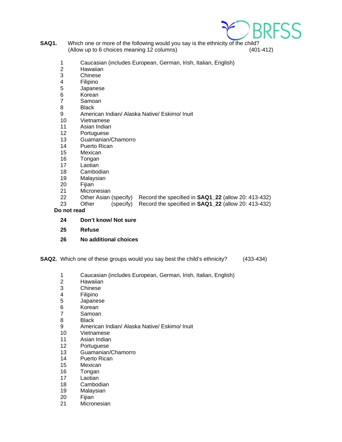

- **SAQ1.** Which one or more of the following would you say is the ethnicity of the child? (Allow up to 6 choices meaning 12 columns) (401-412)
	- 1 Caucasian (includes European, German, Irish, Italian, English)
	- 2 Hawaiian
	- 3 Chinese
	- 4 Filipino
	- 5 Japanese
	- 6 Korean<br>7 Samoar
	- **Samoan**
	- 8 Black
	- 9 American Indian/ Alaska Native/ Eskimo/ Inuit<br>10 Vietnamese
	- **Vietnamese**
	- 11 Asian Indian
	- 12 Portuguese
	- 13 Guamanian/Chamorro
	- 14 Puerto Rican
	- 15 Mexican
	- 16 Tongan
	- 17 Laotian
	- 18 Cambodian
	- 19 Malaysian
	- 20 Fijian<br>21 Micror
	- 21 Micronesian<br>22 Other Asian
	- 22 Other Asian (specify) Record the specified in **SAQ1\_22** (allow 20: 413-432)
	- 23 Other (specify) Record the specified in **SAQ1\_22** (allow 20: 413-432)

 **Do not read** 

- **24 Don't know/ Not sure**
- **25 Refuse**
- **26 No additional choices**

**SAQ2.** Which one of these groups would you say best the child's ethnicity? (433-434)

- 1 Caucasian (includes European, German, Irish, Italian, English)
- 2 Hawaiian
- 3 Chinese
- 4 Filipino
- 5 Japanese
- 6 Korean
- 7 Samoan
- 8 Black
- 9 American Indian/ Alaska Native/ Eskimo/ Inuit
- 10 Vietnamese
- 11 Asian Indian
- 12 Portuguese
- 13 Guamanian/Chamorro
- 14 Puerto Rican
- 15 Mexican
- 16 Tongan
- 17 Laotian
- 18 Cambodian
- 19 Malaysian
- 20 Fijian
- 21 Micronesian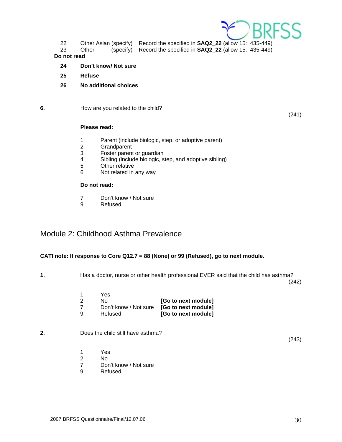

22 Other Asian (specify) Record the specified in **SAQ2\_22** (allow 15: 435-449)

23 Other (specify) Record the specified in **SAQ2\_22** (allow 15: 435-449)

### **Do not read**

- **24 Don't know/ Not sure**
- **25 Refuse**
- **26 No additional choices**

# **6. How are you related to the child?**

(241)

# **Please read:**

- 1 Parent (include biologic, step, or adoptive parent)
- 2 Grandparent<br>3 Foster parent
- Foster parent or guardian
- 4 Sibling (include biologic, step, and adoptive sibling)<br>5 Other relative
- **Other relative**
- 6 Not related in any way

# **Do not read:**

- 7 Don't know / Not sure
- 9 Refused

# Module 2: Childhood Asthma Prevalence

# **CATI note: If response to Core Q12.7 = 88 (None) or 99 (Refused), go to next module.**

**1.** Has a doctor, nurse or other health professional EVER said that the child has asthma? (242)

| Yes     |                                           |
|---------|-------------------------------------------|
| No.     | [Go to next module]                       |
|         | Don't know / Not sure [Go to next module] |
| Refused | [Go to next module]                       |
|         |                                           |

# **2.** Does the child still have asthma?

(243)

- 1 Yes
- 2 No<br>7 Dor
- 7 Don't know / Not sure<br>9 Refused
- **Refused**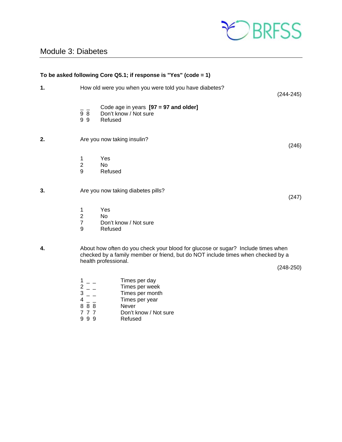

# Module 3: Diabetes

|    |                                            | To be asked following Core Q5.1; if response is "Yes" (code = 1)                                                                                                                             |               |
|----|--------------------------------------------|----------------------------------------------------------------------------------------------------------------------------------------------------------------------------------------------|---------------|
| 1. |                                            | How old were you when you were told you have diabetes?                                                                                                                                       | $(244 - 245)$ |
|    | 98<br>99                                   | Code age in years $[97 = 97$ and older]<br>Don't know / Not sure<br>Refused                                                                                                                  |               |
| 2. |                                            | Are you now taking insulin?                                                                                                                                                                  | (246)         |
|    | 1<br>$\overline{2}$<br>9                   | Yes<br><b>No</b><br>Refused                                                                                                                                                                  |               |
| 3. |                                            | Are you now taking diabetes pills?                                                                                                                                                           | (247)         |
|    | 1<br>$\overline{2}$<br>$\overline{7}$<br>9 | Yes<br>N <sub>o</sub><br>Don't know / Not sure<br>Refused                                                                                                                                    |               |
| 4. |                                            | About how often do you check your blood for glucose or sugar? Include times when<br>checked by a family member or friend, but do NOT include times when checked by a<br>health professional. | $(248-250)$   |
|    | $\frac{2}{3}$<br>4                         | Times per day<br>Times per week<br>Times per month<br>Times per year                                                                                                                         |               |

- 
- 8 8 8 Never<br>
7 7 7 Don't k Don't know / Not sure
- 9 9 9 Refused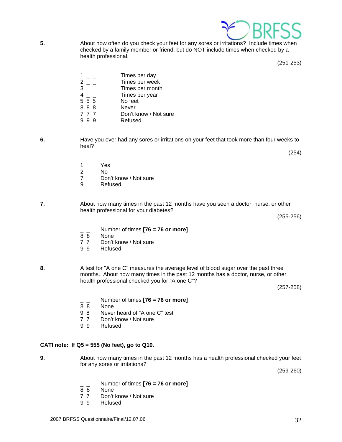

- \_ \_ Number of times **[76 = 76 or more]**
- **None**
- 7 7 Don't know / Not sure

for any sores or irritations?

9 9 Refused

**5.** About how often do you check your feet for any sores or irritations? Include times when checked by a family member or friend, but do NOT include times when checked by a health professional.

(251-253)

|       | Times per day         |
|-------|-----------------------|
|       | Times per week        |
|       | Times per month       |
|       | Times per year        |
| 5 5 5 | No feet               |
| 888   | Never                 |
| 777   | Don't know / Not sure |
|       |                       |

- 9 9 9 Refused
- **6.** Have you ever had any sores or irritations on your feet that took more than four weeks to heal?
	-
	- 1 Yes<br>2 No
	- 2 No<br>7 Dor
	- Don't know / Not sure
	- 9 Refused
- **7.** About how many times in the past 12 months have you seen a doctor, nurse, or other health professional for your diabetes?
	- \_ \_ Number of times **[76 = 76 or more]**
	- None
	- 7 7 Don't know / Not sure<br>9 9 Refused
	- **Refused**
- **8.** A test for "A one C" measures the average level of blood sugar over the past three months. About how many times in the past 12 months has a doctor, nurse, or other health professional checked you for "A one C"?

**9.** About how many times in the past 12 months has a health professional checked your feet

(257-258)

- \_ \_ Number of times **[76 = 76 or more]**
- 8 8 None<br>9 8 Never
- Never heard of "A one C" test
- 7 7 Don't know / Not sure
- 9 9 Refused

# **CATI note: If Q5 = 555 (No feet), go to Q10.**

(255-256)

(259-260)

(254)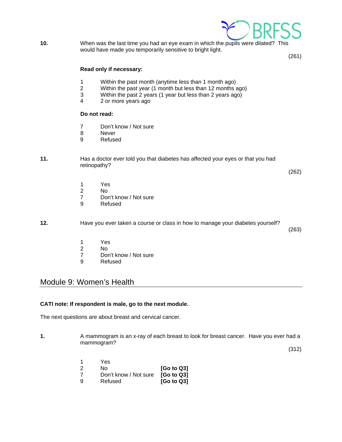

**10.** When was the last time you had an eye exam in which the pupils were dilated? This would have made you temporarily sensitive to bright light.

(261)

# **Read only if necessary:**

- 1 Within the past month (anytime less than 1 month ago)
- 2 Within the past year (1 month but less than 12 months ago)
- 3 Within the past 2 years (1 year but less than 2 years ago)  $\frac{4}{3}$  or more years ago
- 2 or more years ago

# **Do not read:**

- 7 Don't know / Not sure
- 8 Never
- 9 Refused

# **11.** Has a doctor ever told you that diabetes has affected your eyes or that you had retinopathy?

(262)

- 1 Yes<br>2 No
- 2 No<br>7 Dor
- Don't know / Not sure
- 9 Refused

**12.** Have you ever taken a course or class in how to manage your diabetes yourself?

(263)

- 1 Yes<br>2 No
	- No
- 7 Don't know / Not sure
- 9 Refused

# Module 9: Women's Health

# **CATI note: If respondent is male, go to the next module.**

The next questions are about breast and cervical cancer.

**1.** A mammogram is an x-ray of each breast to look for breast cancer. Have you ever had a mammogram?

(312)

|   | Yes                              |                        |
|---|----------------------------------|------------------------|
|   | N٥                               | [G <sub>o</sub> to Q3] |
|   | Don't know / Not sure [Go to Q3] |                        |
| a | Refused                          | [Go to Q3]             |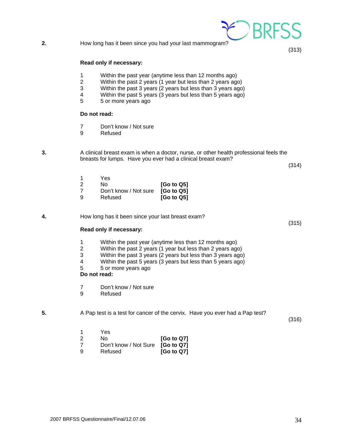**2.** How long has it been since you had your last mammogram?

#### **Read only if necessary:**

- 1 Within the past year (anytime less than 12 months ago)
- 2 Within the past 2 years (1 year but less than 2 years ago)
- 3 Within the past 3 years (2 years but less than 3 years ago)
- 4 Within the past 5 years (3 years but less than 5 years ago)<br>5 5 or more vears ago
- 5 5 or more years ago

# **Do not read:**

- 7 Don't know / Not sure
- 9 Refused

 **3.** A clinical breast exam is when a doctor, nurse, or other health professional feels the breasts for lumps. Have you ever had a clinical breast exam?

(314)

(315)

(313)

|   | Yes                              |                        |
|---|----------------------------------|------------------------|
|   | N٥                               | [Go to Q5]             |
|   | Don't know / Not sure [Go to Q5] |                        |
| a | Refused                          | [G <sub>o</sub> to Q5] |

**4.** How long has it been since your last breast exam?

# **Read only if necessary:**

- 1 Within the past year (anytime less than 12 months ago)<br>2 Within the past 2 years (1 year but less than 2 years ago
- 2 Within the past 2 years (1 year but less than 2 years ago)
- 3 Within the past 3 years (2 years but less than 3 years ago)
- 4 Within the past 5 years (3 years but less than 5 years ago)
- 5 5 or more years ago

# **Do not read:**

1 Yes

7 Don't know / Not sure

 2 No **[Go to Q7]** 7 Don't know / Not Sure **[Go to Q7]** 9 Refused **[Go to Q7]**

9 Refused

**5.** A Pap test is a test for cancer of the cervix. Have you ever had a Pap test?

(316)

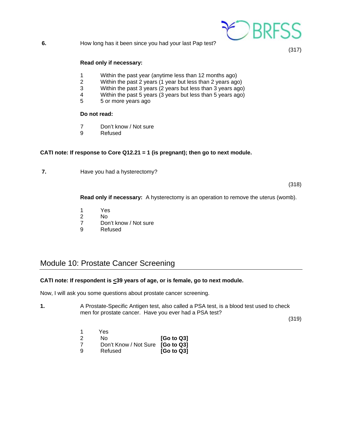

**6.** How long has it been since you had your last Pap test?

(317)

# **Read only if necessary:**

- 1 Within the past year (anytime less than 12 months ago)
- 2 Within the past 2 years (1 year but less than 2 years ago)
- 3 Within the past 3 years (2 years but less than 3 years ago)
- 4 Within the past 5 years (3 years but less than 5 years ago)<br>5 5 or more vears ago
- 5 5 or more years ago

# **Do not read:**

- 7 Don't know / Not sure
- 9 Refused

# **CATI note: If response to Core Q12.21 = 1 (is pregnant); then go to next module.**

**7. Have you had a hysterectomy?** 

(318)

 **Read only if necessary:** A hysterectomy is an operation to remove the uterus (womb).

- 1 Yes
- 2 No
- 7 Don't know / Not sure
- 9 Refused

# Module 10: Prostate Cancer Screening

# **CATI note: If respondent is <39 years of age, or is female, go to next module.**

Now, I will ask you some questions about prostate cancer screening.

**1.** A Prostate-Specific Antigen test, also called a PSA test, is a blood test used to check men for prostate cancer. Have you ever had a PSA test?

(319)

 1 Yes 2 No **[Go to Q3]** 7 Don't Know / Not Sure **[Go to Q3]** 9 Refused **[Go to Q3]**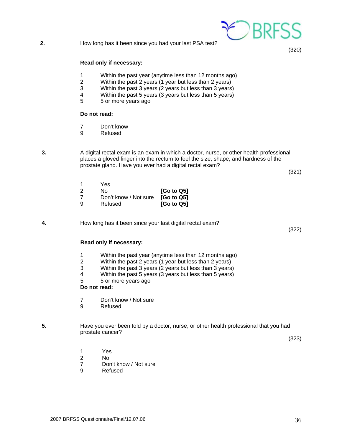# **2.** How long has it been since you had your last PSA test?

### **Read only if necessary:**

- 1 Within the past year (anytime less than 12 months ago)
- 2 Within the past 2 years (1 year but less than 2 years)
- 3 Within the past 3 years (2 years but less than 3 years)
- 4 Within the past 5 years (3 years but less than 5 years)<br>5 5 or more vears ago
- 5 5 or more years ago

#### **Do not read:**

- 7 Don't know
- 9 Refused

**3.** A digital rectal exam is an exam in which a doctor, nurse, or other health professional places a gloved finger into the rectum to feel the size, shape, and hardness of the prostate gland. Have you ever had a digital rectal exam?

(321)

(320)

 1 Yes 2 No **[Go to Q5]** 7 Don't know / Not sure **[Go to Q5]** 9 Refused **[Go to Q5]** 

**4.** How long has it been since your last digital rectal exam?

(322)

### **Read only if necessary:**

- 1 Within the past year (anytime less than 12 months ago)
- 2 Within the past 2 years (1 year but less than 2 years)
- Within the past 3 years (2 years but less than 3 years)
- 4 Within the past 5 years (3 years but less than 5 years)
- 5 5 or more years ago

 **Do not read:** 

- 7 Don't know / Not sure
- 9 Refused

# **5.** Have you ever been told by a doctor, nurse, or other health professional that you had prostate cancer?

(323)

- 1 Yes
- 2 No
	- 7 Don't know / Not sure
	- 9 Refused

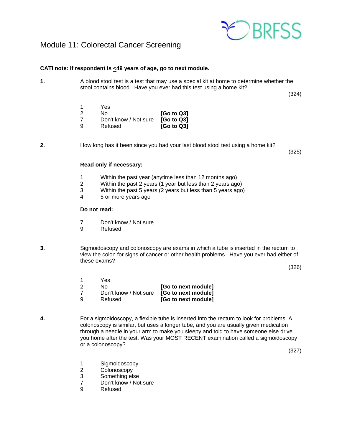

# **CATI note: If respondent is <49 years of age, go to next module.**

**1.** A blood stool test is a test that may use a special kit at home to determine whether the stool contains blood. Have you ever had this test using a home kit?

(324)

|   | Yes                              |                        |
|---|----------------------------------|------------------------|
|   | N٥                               | [G <sub>o</sub> to Q3] |
|   | Don't know / Not sure [Go to Q3] |                        |
| a | Refused                          | [G <sub>o</sub> to Q3] |

**2.** How long has it been since you had your last blood stool test using a home kit?

(325)

### **Read only if necessary:**

- 1 Within the past year (anytime less than 12 months ago)
- 2 Within the past 2 years (1 year but less than 2 years ago)
- 3 Within the past 5 years (2 years but less than 5 years ago)
- 4 5 or more years ago

### **Do not read:**

- 7 Don't know / Not sure
- 9 Refused

**3.** Sigmoidoscopy and colonoscopy are exams in which a tube is inserted in the rectum to view the colon for signs of cancer or other health problems. Have you ever had either of these exams?

(326)

- 1 Yes 2 No **[Go to next module]** 7 Don't know / Not sure **[Go to next module]** 9 Refused **[Go to next module]**
- **4.** For a sigmoidoscopy, a flexible tube is inserted into the rectum to look for problems. A colonoscopy is similar, but uses a longer tube, and you are usually given medication through a needle in your arm to make you sleepy and told to have someone else drive you home after the test. Was your MOST RECENT examination called a sigmoidoscopy or a colonoscopy?

(327)

- 1 Sigmoidoscopy
- 2 Colonoscopy
- 3 Something else<br>7 Don't know / No
- Don't know / Not sure
- 9 Refused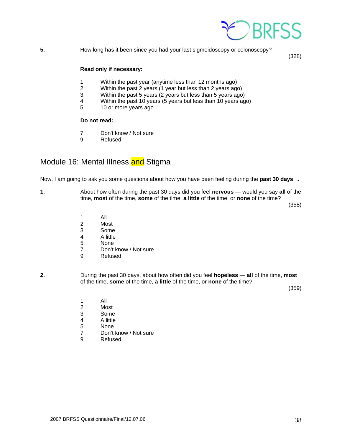

**5.** How long has it been since you had your last sigmoidoscopy or colonoscopy?

(328)

# **Read only if necessary:**

- 1 Within the past year (anytime less than 12 months ago)
- 2 Within the past 2 years (1 year but less than 2 years ago)
- 3 Within the past 5 years (2 years but less than 5 years ago)
- Within the past 10 years (5 years but less than 10 years ago)
- 5 10 or more years ago

# **Do not read:**

- 7 Don't know / Not sure
- 9 Refused

# Module 16: Mental Illness and Stigma

Now, I am going to ask you some questions about how you have been feeling during the **past 30 days**. ..

**1.** About how often during the past 30 days did you feel **nervous** — would you say **all** of the time, **most** of the time, **some** of the time, **a little** of the time, or **none** of the time?

(358)

- 1 All
	- 2 Most<br>3 Some
	- 3 Some<br>4 A little
	- 4 A little
	- 5 None
	- 7 Don't know / Not sure
	- 9 Refused
- **2.** During the past 30 days, about how often did you feel **hopeless all** of the time, **most** of the time, **some** of the time, **a little** of the time, or **none** of the time?

(359)

- 1 All
	- 2 Most<br>3 Some
	- 3 Some
	- 4 A little<br>5 None
	- 5 None<br>7 Don't
	- Don't know / Not sure
	- 9 Refused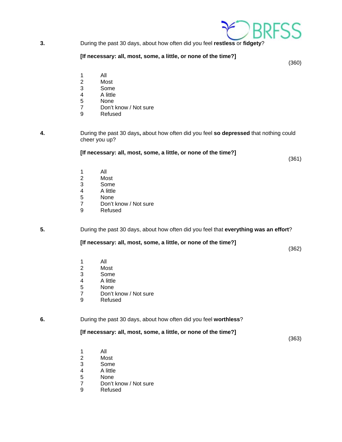

**3.** During the past 30 days, about how often did you feel **restless** or **fidgety**?

### **[If necessary: all, most, some, a little, or none of the time?]**

(360)

- 1 All
- Most
- 3 Some
- 4 A little<br>5 None
- **None**
- 7 Don't know / Not sure
- 9 Refused
- **4.** During the past 30 days**,** about how often did you feel **so depressed** that nothing could cheer you up?

### **[If necessary: all, most, some, a little, or none of the time?]**

(361)

- 1 All<br>2 Mo
- Most
- 3 Some<br>4 A little
- 4 A little<br>5 None
- **None**
- 7 Don't know / Not sure<br>9 Refused
- **Refused**

**5.** During the past 30 days, about how often did you feel that **everything was an effort**?

# **[If necessary: all, most, some, a little, or none of the time?]**

(362)

- 1 All
	- 2 Most
	- 3 Some
	- 4 A little
	- 5 None
	- 7 Don't know / Not sure
	- 9 Refused

**6.** During the past 30 days, about how often did you feel **worthless**?

# **[If necessary: all, most, some, a little, or none of the time?]**

(363)

- 1 All
	- 2 Most
	- 3 Some
	- 4 A little
	- 5 None<br>7 Don't
	- 7 Don't know / Not sure<br>9 Refused
	- **Refused**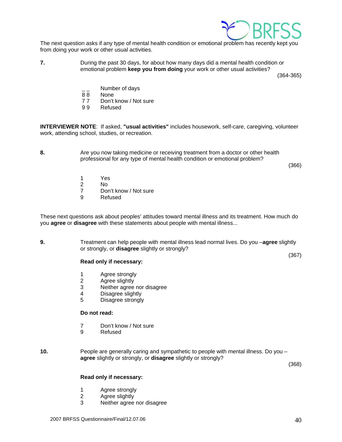

The next question asks if any type of mental health condition or emotional problem has recently kept you from doing your work or other usual activities.

**7.** During the past 30 days, for about how many days did a mental health condition or emotional problem **keep you from doing** your work or other usual activities?

(364-365)

- Number of days
- 8 8 None
- 7 7 Don't know / Not sure
- 9 9 Refused

**INTERVIEWER NOTE**: If asked, **"usual activities"** includes housework, self-care, caregiving, volunteer work, attending school, studies, or recreation.

**8.** Are you now taking medicine or receiving treatment from a doctor or other health professional for any type of mental health condition or emotional problem?

(366)

(367)

- 1 Yes
- 2 No<br>7 Dor
- Don't know / Not sure
- 9 Refused

These next questions ask about peoples' attitudes toward mental illness and its treatment. How much do you **agree** or **disagree** with these statements about people with mental illness...

**9.** Treatment can help people with mental illness lead normal lives. Do you –**agree** slightly or strongly, or **disagree** slightly or strongly?

### **Read only if necessary:**

- 1 Agree strongly
- 2 Agree slightly
- 3 Neither agree nor disagree
- 4 Disagree slightly
- 5 Disagree strongly

# **Do not read:**

- 7 Don't know / Not sure
- 9 Refused
- **10.** People are generally caring and sympathetic to people with mental illness. Do you  **agree** slightly or strongly, or **disagree** slightly or strongly?

(368)

### **Read only if necessary:**

- 1 Agree strongly
- 2 Agree slightly
- 3 Neither agree nor disagree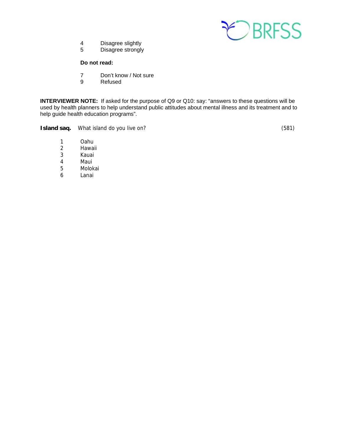

- 4 Disagree slightly<br>5 Disagree strongly
- Disagree strongly

# **Do not read:**

- 7 Don't know / Not sure<br>9 Refused
- **Refused**

**INTERVIEWER NOTE:** If asked for the purpose of Q9 or Q10: say: "answers to these questions will be used by health planners to help understand public attitudes about mental illness and its treatment and to help guide health education programs".

**Island saq.** What island do you live on?  $(581)$ 

- 1 Oahu<br>2 Hawai
- **Hawaii**
- 3 Kauai
- 4 Maui
- 5 Molokai
- 6 Lanai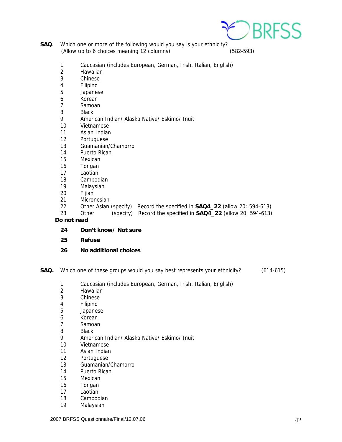

- **SAQ**. Which one or more of the following would you say is your ethnicity? (Allow up to 6 choices meaning 12 columns) (582-593)
	- 1 Caucasian (includes European, German, Irish, Italian, English)
	- 2 Hawaiian
	- 3 Chinese
	- 4 Filipino
	- 5 Japanese
	- 6 Korean
	- 7 Samoan
	- 8 Black
	- 9 American Indian/ Alaska Native/ Eskimo/ Inuit
	- 10 Vietnamese
	- 11 Asian Indian
	- 12 Portuguese
	- 13 Guamanian/Chamorro
	- 14 Puerto Rican
	- 15 Mexican
	- 16 Tongan
	- 17 Laotian
	- 18 Cambodian
	- 19 Malaysian
	- 20 Fijian
	- 21 Micronesian
	- 22 Other Asian (specify) Record the specified in **SAQ4\_22** (allow 20: 594-613)
	- 23 Other (specify) Record the specified in **SAQ4\_22** (allow 20: 594-613)

 **Do not read** 

- **24 Don't know/ Not sure**
- **25 Refuse**
- **26 No additional choices**
- **SAQ.** Which one of these groups would you say best represents your ethnicity? (614-615)
	- 1 Caucasian (includes European, German, Irish, Italian, English)
	- 2 Hawaiian
	- 3 Chinese
	- 4 Filipino
	- 5 Japanese
	- 6 Korean
	- 7 Samoan
	- 8 Black
	- 9 American Indian/ Alaska Native/ Eskimo/ Inuit
	- 10 Vietnamese
	- 11 Asian Indian
	- 12 Portuguese
	- 13 Guamanian/Chamorro
	- 14 Puerto Rican
	- 15 Mexican
	- 16 Tongan
	- 17 Laotian
	- 18 Cambodian
	- 19 Malaysian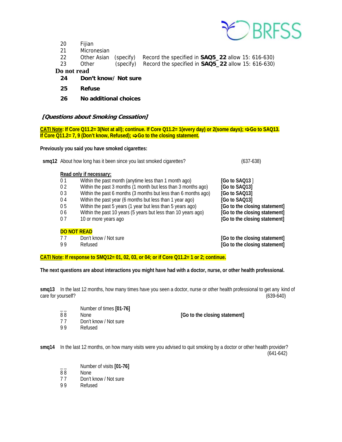

- 20 Fijian
- 21 Micronesian
- 22 Other Asian (specify) Record the specified in **SAQ5\_22** allow 15: 616-630)
- 23 Other (specify) Record the specified in **SAQ5\_22** allow 15: 616-630)

# **Do not read**

- **24 Don't know/ Not sure**
- **25 Refuse**
- **26 No additional choices**

# **[Questions about Smoking Cessation]**

**CATI Note: If Core Q11.2= 3(Not at all); continue. If Core Q11.2= 1(every day) or 2(some days); <b>→ Go to SAQ13. If Core Q11.2= 7, 9 (Don't know, Refused); → Go to the closing statement.** 

**Previously you said you have smoked cigarettes:** 

|                | smq12 About how long has it been since you last smoked cigarettes? | $(637-638)$                   |
|----------------|--------------------------------------------------------------------|-------------------------------|
|                | Read only if necessary:                                            |                               |
| 0 <sub>1</sub> | Within the past month (anytime less than 1 month ago)              | [Go to SAQ13]                 |
| 0 <sub>2</sub> | Within the past 3 months (1 month but less than 3 months ago)      | [Go to SAQ13]                 |
| 0 <sub>3</sub> | Within the past 6 months (3 months but less than 6 months ago)     | [Go to SAQ13]                 |
| 04             | Within the past year (6 months but less than 1 year ago)           | [Go to SAQ13]                 |
| 0 <sub>5</sub> | Within the past 5 years (1 year but less than 5 years ago)         | [Go to the closing statement] |
| 06             | Within the past 10 years (5 years but less than 10 years ago)      | [Go to the closing statement] |
| 07             | 10 or more years ago                                               | [Go to the closing statement] |
|                |                                                                    |                               |

#### **DO NOT READ**

7 7 Don't know / Not sure **[Go to the closing statement]**

9 9 Refused **[Go to the closing statement]**

**CATI Note: If response to SMQ12= 01, 02, 03, or 04; or if Core Q11.2= 1 or 2; continue.** 

**The next questions are about interactions you might have had with a doctor, nurse, or other health professional.** 

**smq13** In the last 12 months, how many times have you seen a doctor, nurse or other health professional to get any kind of care for yourself? (639-640)

- \_ \_ Number of times **[01-76]**
- 
- 7 7 Don't know / Not sure
- 9 9 Refused

None **[Go to the closing statement]** 

**smq14** In the last 12 months, on how many visits were you advised to quit smoking by a doctor or other health provider? (641-642)

- $\frac{1}{88}$  Number of visits **[01-76]**<br>88 None
- None
- 77 Don't know / Not sure<br>99 Refused
- **Refused**